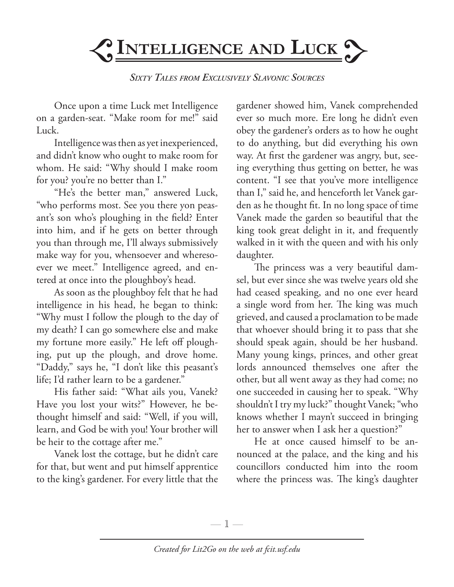

*Sixty Tales from Exclusively Slavonic Sources*

Once upon a time Luck met Intelligence on a garden-seat. "Make room for me!" said Luck.

Intelligence was then as yet inexperienced, and didn't know who ought to make room for whom. He said: "Why should I make room for you? you're no better than I."

"He's the better man," answered Luck, "who performs most. See you there yon peasant's son who's ploughing in the field? Enter into him, and if he gets on better through you than through me, I'll always submissively make way for you, whensoever and wheresoever we meet." Intelligence agreed, and entered at once into the ploughboy's head.

As soon as the ploughboy felt that he had intelligence in his head, he began to think: "Why must I follow the plough to the day of my death? I can go somewhere else and make my fortune more easily." He left off ploughing, put up the plough, and drove home. "Daddy," says he, "I don't like this peasant's life; I'd rather learn to be a gardener."

His father said: "What ails you, Vanek? Have you lost your wits?" However, he bethought himself and said: "Well, if you will, learn, and God be with you! Your brother will be heir to the cottage after me."

Vanek lost the cottage, but he didn't care for that, but went and put himself apprentice to the king's gardener. For every little that the

gardener showed him, Vanek comprehended ever so much more. Ere long he didn't even obey the gardener's orders as to how he ought to do anything, but did everything his own way. At first the gardener was angry, but, seeing everything thus getting on better, he was content. "I see that you've more intelligence than I," said he, and henceforth let Vanek garden as he thought fit. In no long space of time Vanek made the garden so beautiful that the king took great delight in it, and frequently walked in it with the queen and with his only daughter.

The princess was a very beautiful damsel, but ever since she was twelve years old she had ceased speaking, and no one ever heard a single word from her. The king was much grieved, and caused a proclamation to be made that whoever should bring it to pass that she should speak again, should be her husband. Many young kings, princes, and other great lords announced themselves one after the other, but all went away as they had come; no one succeeded in causing her to speak. "Why shouldn't I try my luck?" thought Vanek; "who knows whether I mayn't succeed in bringing her to answer when I ask her a question?"

He at once caused himself to be announced at the palace, and the king and his councillors conducted him into the room where the princess was. The king's daughter

—  $\mathbb{1}$  —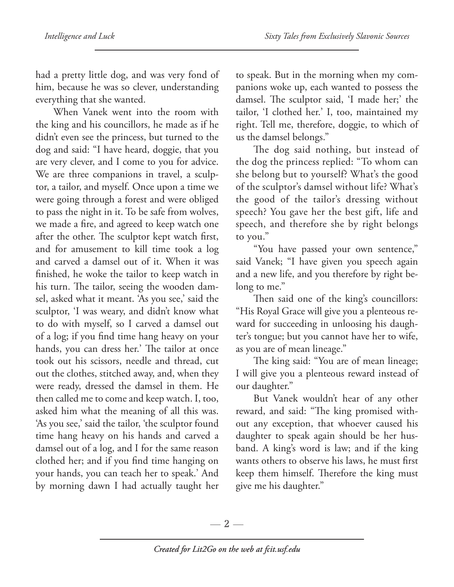had a pretty little dog, and was very fond of him, because he was so clever, understanding everything that she wanted.

When Vanek went into the room with the king and his councillors, he made as if he didn't even see the princess, but turned to the dog and said: "I have heard, doggie, that you are very clever, and I come to you for advice. We are three companions in travel, a sculptor, a tailor, and myself. Once upon a time we were going through a forest and were obliged to pass the night in it. To be safe from wolves, we made a fire, and agreed to keep watch one after the other. The sculptor kept watch first, and for amusement to kill time took a log and carved a damsel out of it. When it was finished, he woke the tailor to keep watch in his turn. The tailor, seeing the wooden damsel, asked what it meant. 'As you see,' said the sculptor, 'I was weary, and didn't know what to do with myself, so I carved a damsel out of a log; if you find time hang heavy on your hands, you can dress her.' The tailor at once took out his scissors, needle and thread, cut out the clothes, stitched away, and, when they were ready, dressed the damsel in them. He then called me to come and keep watch. I, too, asked him what the meaning of all this was. 'As you see,' said the tailor, 'the sculptor found time hang heavy on his hands and carved a damsel out of a log, and I for the same reason clothed her; and if you find time hanging on your hands, you can teach her to speak.' And by morning dawn I had actually taught her

to speak. But in the morning when my companions woke up, each wanted to possess the damsel. The sculptor said, 'I made her;' the tailor, 'I clothed her.' I, too, maintained my right. Tell me, therefore, doggie, to which of us the damsel belongs."

The dog said nothing, but instead of the dog the princess replied: "To whom can she belong but to yourself? What's the good of the sculptor's damsel without life? What's the good of the tailor's dressing without speech? You gave her the best gift, life and speech, and therefore she by right belongs to you."

"You have passed your own sentence," said Vanek; "I have given you speech again and a new life, and you therefore by right belong to me."

Then said one of the king's councillors: "His Royal Grace will give you a plenteous reward for succeeding in unloosing his daughter's tongue; but you cannot have her to wife, as you are of mean lineage."

The king said: "You are of mean lineage; I will give you a plenteous reward instead of our daughter."

But Vanek wouldn't hear of any other reward, and said: "The king promised without any exception, that whoever caused his daughter to speak again should be her husband. A king's word is law; and if the king wants others to observe his laws, he must first keep them himself. Therefore the king must give me his daughter."

— 2 —